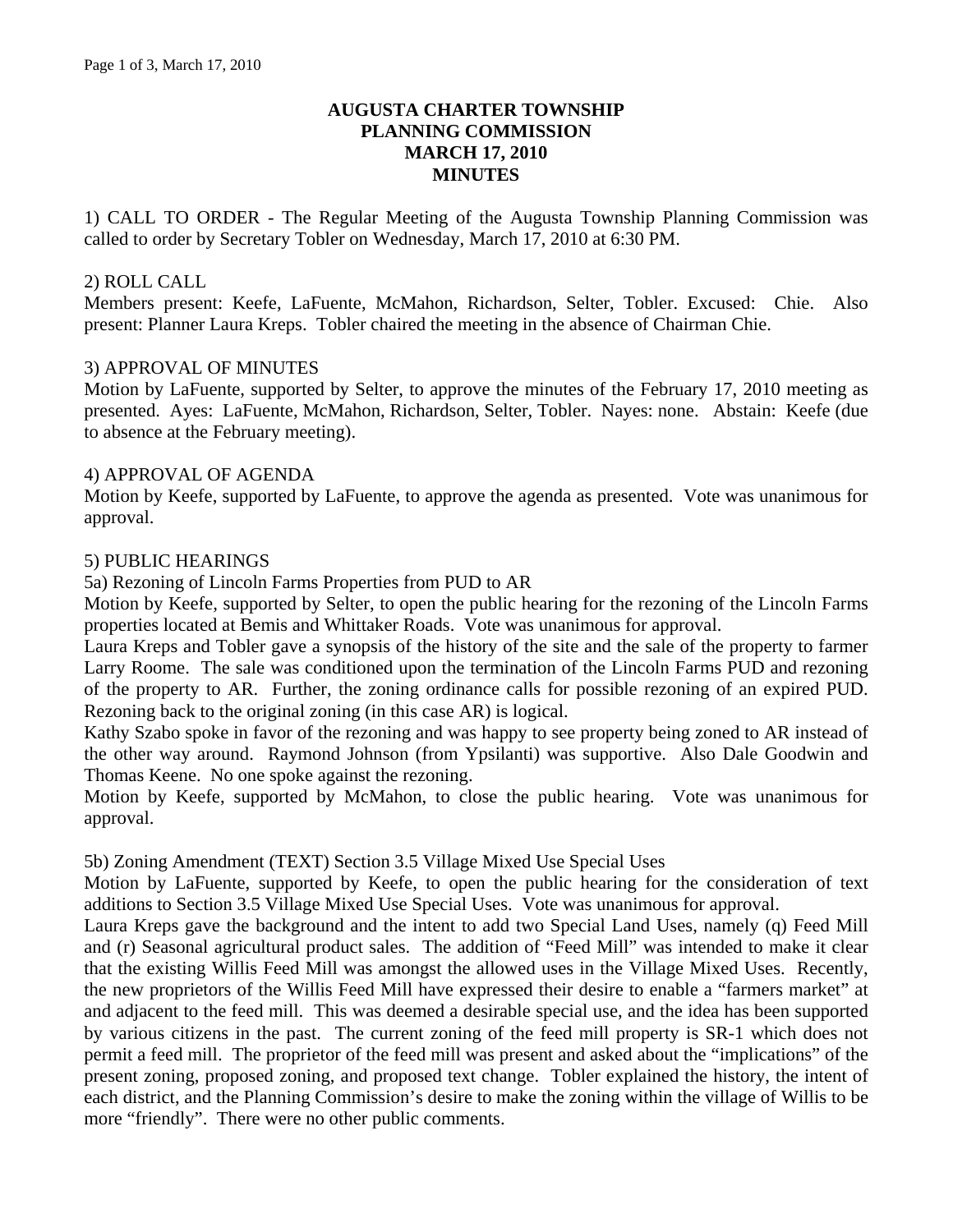## **AUGUSTA CHARTER TOWNSHIP PLANNING COMMISSION MARCH 17, 2010 MINUTES**

1) CALL TO ORDER - The Regular Meeting of the Augusta Township Planning Commission was called to order by Secretary Tobler on Wednesday, March 17, 2010 at 6:30 PM.

### 2) ROLL CALL

Members present: Keefe, LaFuente, McMahon, Richardson, Selter, Tobler. Excused: Chie. Also present: Planner Laura Kreps. Tobler chaired the meeting in the absence of Chairman Chie.

#### 3) APPROVAL OF MINUTES

Motion by LaFuente, supported by Selter, to approve the minutes of the February 17, 2010 meeting as presented. Ayes: LaFuente, McMahon, Richardson, Selter, Tobler. Nayes: none. Abstain: Keefe (due to absence at the February meeting).

#### 4) APPROVAL OF AGENDA

Motion by Keefe, supported by LaFuente, to approve the agenda as presented. Vote was unanimous for approval.

### 5) PUBLIC HEARINGS

5a) Rezoning of Lincoln Farms Properties from PUD to AR

Motion by Keefe, supported by Selter, to open the public hearing for the rezoning of the Lincoln Farms properties located at Bemis and Whittaker Roads. Vote was unanimous for approval.

Laura Kreps and Tobler gave a synopsis of the history of the site and the sale of the property to farmer Larry Roome. The sale was conditioned upon the termination of the Lincoln Farms PUD and rezoning of the property to AR. Further, the zoning ordinance calls for possible rezoning of an expired PUD. Rezoning back to the original zoning (in this case AR) is logical.

Kathy Szabo spoke in favor of the rezoning and was happy to see property being zoned to AR instead of the other way around. Raymond Johnson (from Ypsilanti) was supportive. Also Dale Goodwin and Thomas Keene. No one spoke against the rezoning.

Motion by Keefe, supported by McMahon, to close the public hearing. Vote was unanimous for approval.

#### 5b) Zoning Amendment (TEXT) Section 3.5 Village Mixed Use Special Uses

Motion by LaFuente, supported by Keefe, to open the public hearing for the consideration of text additions to Section 3.5 Village Mixed Use Special Uses. Vote was unanimous for approval.

Laura Kreps gave the background and the intent to add two Special Land Uses, namely (q) Feed Mill and (r) Seasonal agricultural product sales. The addition of "Feed Mill" was intended to make it clear that the existing Willis Feed Mill was amongst the allowed uses in the Village Mixed Uses. Recently, the new proprietors of the Willis Feed Mill have expressed their desire to enable a "farmers market" at and adjacent to the feed mill. This was deemed a desirable special use, and the idea has been supported by various citizens in the past. The current zoning of the feed mill property is SR-1 which does not permit a feed mill. The proprietor of the feed mill was present and asked about the "implications" of the present zoning, proposed zoning, and proposed text change. Tobler explained the history, the intent of each district, and the Planning Commission's desire to make the zoning within the village of Willis to be more "friendly". There were no other public comments.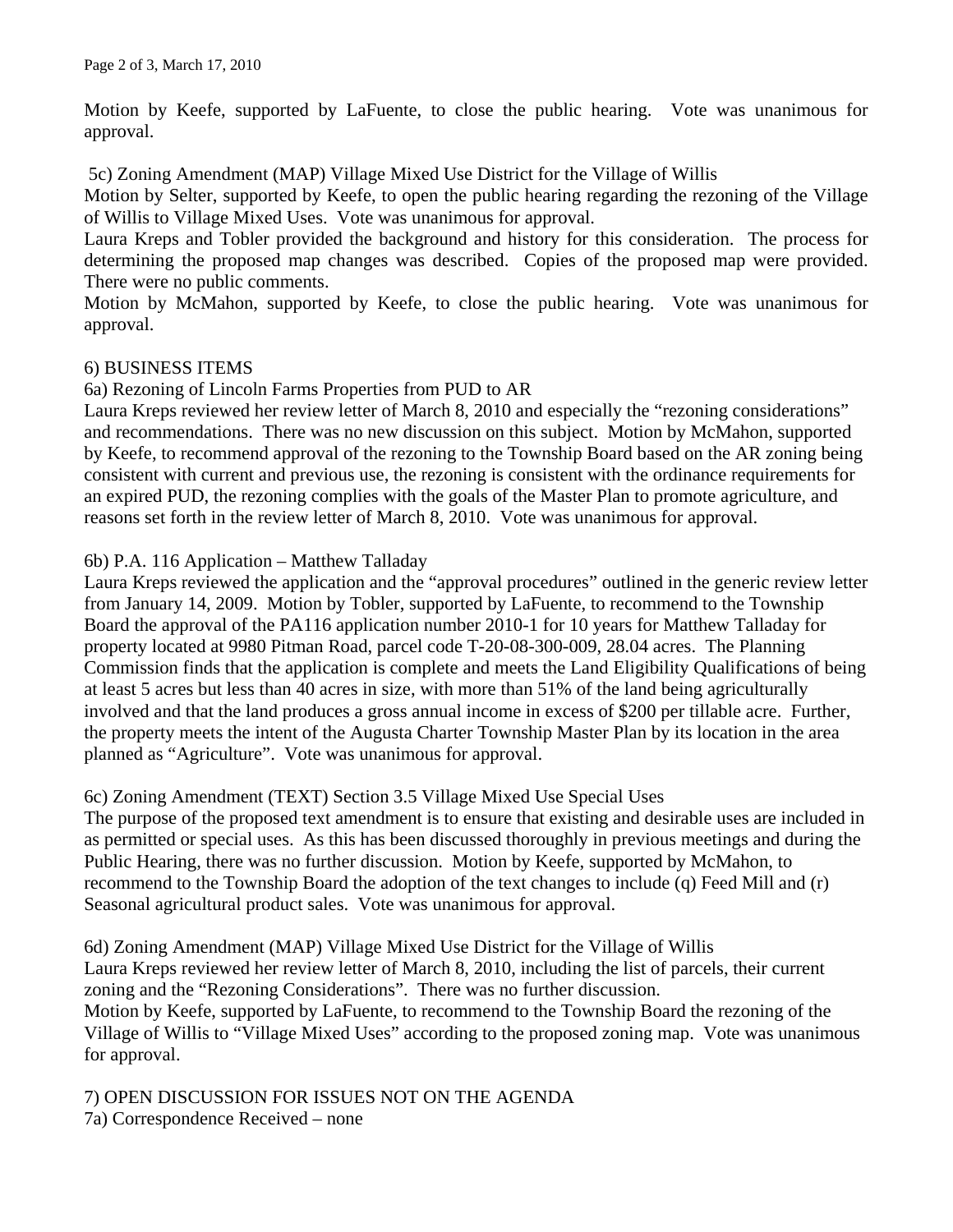Motion by Keefe, supported by LaFuente, to close the public hearing. Vote was unanimous for approval.

5c) Zoning Amendment (MAP) Village Mixed Use District for the Village of Willis

Motion by Selter, supported by Keefe, to open the public hearing regarding the rezoning of the Village of Willis to Village Mixed Uses. Vote was unanimous for approval.

Laura Kreps and Tobler provided the background and history for this consideration. The process for determining the proposed map changes was described. Copies of the proposed map were provided. There were no public comments.

Motion by McMahon, supported by Keefe, to close the public hearing. Vote was unanimous for approval.

### 6) BUSINESS ITEMS

6a) Rezoning of Lincoln Farms Properties from PUD to AR

Laura Kreps reviewed her review letter of March 8, 2010 and especially the "rezoning considerations" and recommendations. There was no new discussion on this subject. Motion by McMahon, supported by Keefe, to recommend approval of the rezoning to the Township Board based on the AR zoning being consistent with current and previous use, the rezoning is consistent with the ordinance requirements for an expired PUD, the rezoning complies with the goals of the Master Plan to promote agriculture, and reasons set forth in the review letter of March 8, 2010. Vote was unanimous for approval.

6b) P.A. 116 Application – Matthew Talladay

Laura Kreps reviewed the application and the "approval procedures" outlined in the generic review letter from January 14, 2009. Motion by Tobler, supported by LaFuente, to recommend to the Township Board the approval of the PA116 application number 2010-1 for 10 years for Matthew Talladay for property located at 9980 Pitman Road, parcel code T-20-08-300-009, 28.04 acres. The Planning Commission finds that the application is complete and meets the Land Eligibility Qualifications of being at least 5 acres but less than 40 acres in size, with more than 51% of the land being agriculturally involved and that the land produces a gross annual income in excess of \$200 per tillable acre. Further, the property meets the intent of the Augusta Charter Township Master Plan by its location in the area planned as "Agriculture". Vote was unanimous for approval.

# 6c) Zoning Amendment (TEXT) Section 3.5 Village Mixed Use Special Uses

The purpose of the proposed text amendment is to ensure that existing and desirable uses are included in as permitted or special uses. As this has been discussed thoroughly in previous meetings and during the Public Hearing, there was no further discussion. Motion by Keefe, supported by McMahon, to recommend to the Township Board the adoption of the text changes to include (q) Feed Mill and (r) Seasonal agricultural product sales. Vote was unanimous for approval.

6d) Zoning Amendment (MAP) Village Mixed Use District for the Village of Willis Laura Kreps reviewed her review letter of March 8, 2010, including the list of parcels, their current zoning and the "Rezoning Considerations". There was no further discussion. Motion by Keefe, supported by LaFuente, to recommend to the Township Board the rezoning of the Village of Willis to "Village Mixed Uses" according to the proposed zoning map. Vote was unanimous for approval.

7) OPEN DISCUSSION FOR ISSUES NOT ON THE AGENDA 7a) Correspondence Received – none